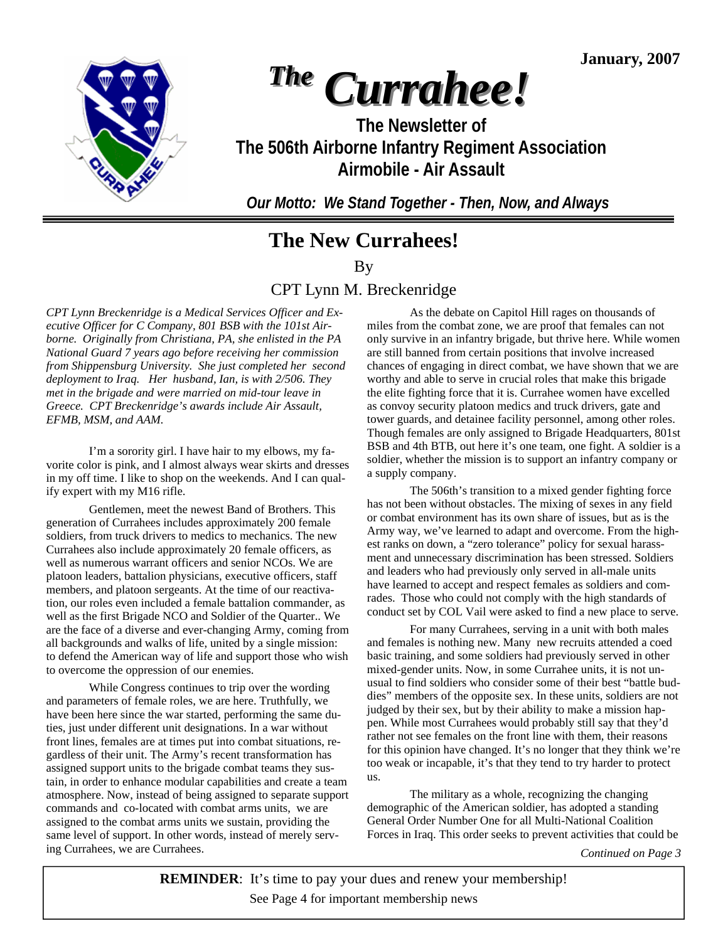**January, 2007** 



# *The Currahee!*

**The Newsletter of The 506th Airborne Infantry Regiment Association Airmobile - Air Assault** 

*Our Motto: We Stand Together - Then, Now, and Always* 

# **The New Currahees!**

By

# CPT Lynn M. Breckenridge

*CPT Lynn Breckenridge is a Medical Services Officer and Executive Officer for C Company, 801 BSB with the 101st Airborne. Originally from Christiana, PA, she enlisted in the PA National Guard 7 years ago before receiving her commission from Shippensburg University. She just completed her second deployment to Iraq. Her husband, Ian, is with 2/506. They met in the brigade and were married on mid-tour leave in Greece. CPT Breckenridge's awards include Air Assault, EFMB, MSM, and AAM.* 

 I'm a sorority girl. I have hair to my elbows, my favorite color is pink, and I almost always wear skirts and dresses in my off time. I like to shop on the weekends. And I can qualify expert with my M16 rifle.

 Gentlemen, meet the newest Band of Brothers. This generation of Currahees includes approximately 200 female soldiers, from truck drivers to medics to mechanics. The new Currahees also include approximately 20 female officers, as well as numerous warrant officers and senior NCOs. We are platoon leaders, battalion physicians, executive officers, staff members, and platoon sergeants. At the time of our reactivation, our roles even included a female battalion commander, as well as the first Brigade NCO and Soldier of the Quarter.. We are the face of a diverse and ever-changing Army, coming from all backgrounds and walks of life, united by a single mission: to defend the American way of life and support those who wish to overcome the oppression of our enemies.

 While Congress continues to trip over the wording and parameters of female roles, we are here. Truthfully, we have been here since the war started, performing the same duties, just under different unit designations. In a war without front lines, females are at times put into combat situations, regardless of their unit. The Army's recent transformation has assigned support units to the brigade combat teams they sustain, in order to enhance modular capabilities and create a team atmosphere. Now, instead of being assigned to separate support commands and co-located with combat arms units, we are assigned to the combat arms units we sustain, providing the same level of support. In other words, instead of merely serving Currahees, we are Currahees. *Continued on Page 3* 

 As the debate on Capitol Hill rages on thousands of miles from the combat zone, we are proof that females can not only survive in an infantry brigade, but thrive here. While women are still banned from certain positions that involve increased chances of engaging in direct combat, we have shown that we are worthy and able to serve in crucial roles that make this brigade the elite fighting force that it is. Currahee women have excelled as convoy security platoon medics and truck drivers, gate and tower guards, and detainee facility personnel, among other roles. Though females are only assigned to Brigade Headquarters, 801st BSB and 4th BTB, out here it's one team, one fight. A soldier is a soldier, whether the mission is to support an infantry company or a supply company.

 The 506th's transition to a mixed gender fighting force has not been without obstacles. The mixing of sexes in any field or combat environment has its own share of issues, but as is the Army way, we've learned to adapt and overcome. From the highest ranks on down, a "zero tolerance" policy for sexual harassment and unnecessary discrimination has been stressed. Soldiers and leaders who had previously only served in all-male units have learned to accept and respect females as soldiers and comrades. Those who could not comply with the high standards of conduct set by COL Vail were asked to find a new place to serve.

 For many Currahees, serving in a unit with both males and females is nothing new. Many new recruits attended a coed basic training, and some soldiers had previously served in other mixed-gender units. Now, in some Currahee units, it is not unusual to find soldiers who consider some of their best "battle buddies" members of the opposite sex. In these units, soldiers are not judged by their sex, but by their ability to make a mission happen. While most Currahees would probably still say that they'd rather not see females on the front line with them, their reasons for this opinion have changed. It's no longer that they think we're too weak or incapable, it's that they tend to try harder to protect us.

 The military as a whole, recognizing the changing demographic of the American soldier, has adopted a standing General Order Number One for all Multi-National Coalition Forces in Iraq. This order seeks to prevent activities that could be

 See Page 4 for important membership news **REMINDER**: It's time to pay your dues and renew your membership!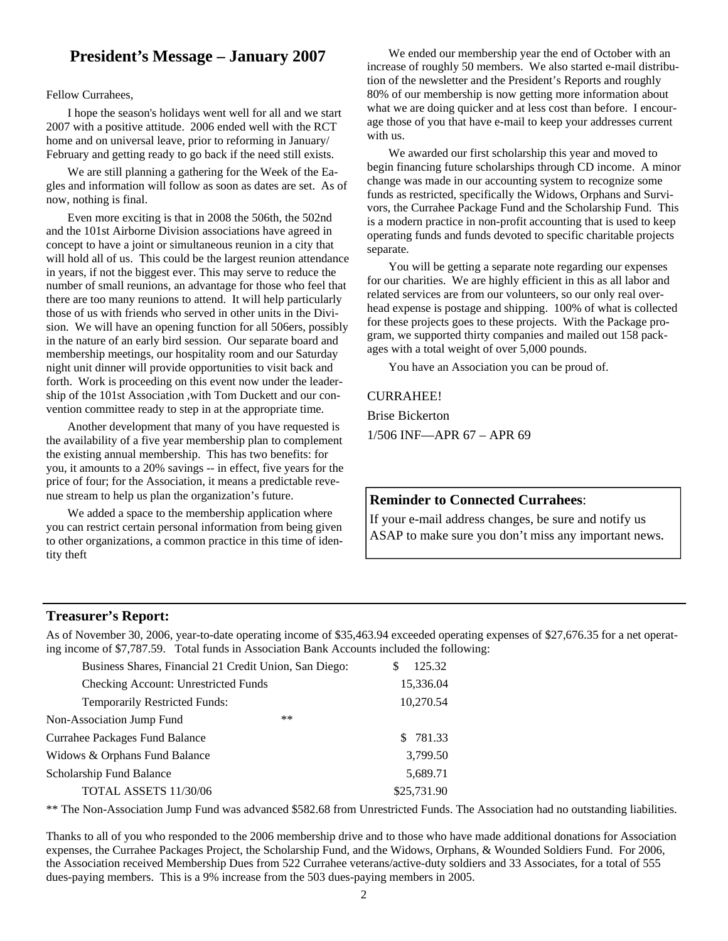# **President's Message – January 2007**

#### Fellow Currahees,

 I hope the season's holidays went well for all and we start 2007 with a positive attitude. 2006 ended well with the RCT home and on universal leave, prior to reforming in January/ February and getting ready to go back if the need still exists.

 We are still planning a gathering for the Week of the Eagles and information will follow as soon as dates are set. As of now, nothing is final.

 Even more exciting is that in 2008 the 506th, the 502nd and the 101st Airborne Division associations have agreed in concept to have a joint or simultaneous reunion in a city that will hold all of us. This could be the largest reunion attendance in years, if not the biggest ever. This may serve to reduce the number of small reunions, an advantage for those who feel that there are too many reunions to attend. It will help particularly those of us with friends who served in other units in the Division. We will have an opening function for all 506ers, possibly in the nature of an early bird session. Our separate board and membership meetings, our hospitality room and our Saturday night unit dinner will provide opportunities to visit back and forth. Work is proceeding on this event now under the leadership of the 101st Association ,with Tom Duckett and our convention committee ready to step in at the appropriate time.

 Another development that many of you have requested is the availability of a five year membership plan to complement the existing annual membership. This has two benefits: for you, it amounts to a 20% savings -- in effect, five years for the price of four; for the Association, it means a predictable revenue stream to help us plan the organization's future.

 We added a space to the membership application where you can restrict certain personal information from being given to other organizations, a common practice in this time of identity theft

 We ended our membership year the end of October with an increase of roughly 50 members. We also started e-mail distribution of the newsletter and the President's Reports and roughly 80% of our membership is now getting more information about what we are doing quicker and at less cost than before. I encourage those of you that have e-mail to keep your addresses current with us.

 We awarded our first scholarship this year and moved to begin financing future scholarships through CD income. A minor change was made in our accounting system to recognize some funds as restricted, specifically the Widows, Orphans and Survivors, the Currahee Package Fund and the Scholarship Fund. This is a modern practice in non-profit accounting that is used to keep operating funds and funds devoted to specific charitable projects separate.

 You will be getting a separate note regarding our expenses for our charities. We are highly efficient in this as all labor and related services are from our volunteers, so our only real overhead expense is postage and shipping. 100% of what is collected for these projects goes to these projects. With the Package program, we supported thirty companies and mailed out 158 packages with a total weight of over 5,000 pounds.

You have an Association you can be proud of.

#### CURRAHEE!

Brise Bickerton 1/506 INF—APR 67 – APR 69

#### **Reminder to Connected Currahees**:

If your e-mail address changes, be sure and notify us ASAP to make sure you don't miss any important news.

#### **Treasurer's Report:**

As of November 30, 2006, year-to-date operating income of \$35,463.94 exceeded operating expenses of \$27,676.35 for a net operating income of \$7,787.59. Total funds in Association Bank Accounts included the following:

| Business Shares, Financial 21 Credit Union, San Diego: | 125.32<br>S |
|--------------------------------------------------------|-------------|
| <b>Checking Account: Unrestricted Funds</b>            | 15,336.04   |
| Temporarily Restricted Funds:                          | 10,270.54   |
| $**$<br>Non-Association Jump Fund                      |             |
| Currahee Packages Fund Balance                         | \$ 781.33   |
| Widows & Orphans Fund Balance                          | 3,799.50    |
| Scholarship Fund Balance                               | 5,689.71    |
| TOTAL ASSETS 11/30/06                                  | \$25,731.90 |

\*\* The Non-Association Jump Fund was advanced \$582.68 from Unrestricted Funds. The Association had no outstanding liabilities.

Thanks to all of you who responded to the 2006 membership drive and to those who have made additional donations for Association expenses, the Currahee Packages Project, the Scholarship Fund, and the Widows, Orphans, & Wounded Soldiers Fund. For 2006, the Association received Membership Dues from 522 Currahee veterans/active-duty soldiers and 33 Associates, for a total of 555 dues-paying members. This is a 9% increase from the 503 dues-paying members in 2005.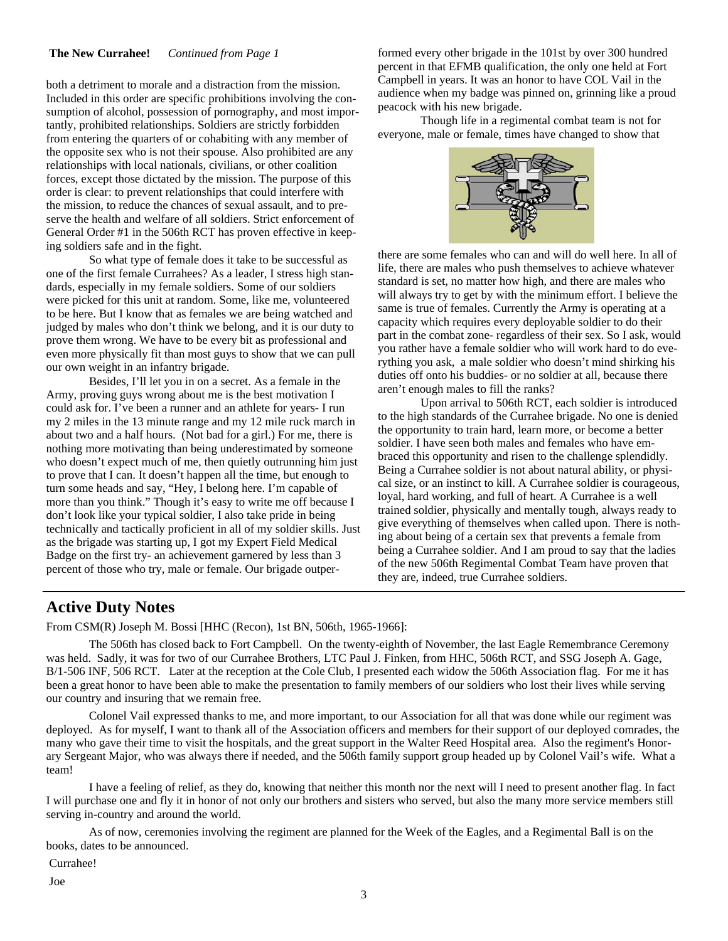#### **The New Currahee!** *Continued from Page 1*

both a detriment to morale and a distraction from the mission. Included in this order are specific prohibitions involving the consumption of alcohol, possession of pornography, and most importantly, prohibited relationships. Soldiers are strictly forbidden from entering the quarters of or cohabiting with any member of the opposite sex who is not their spouse. Also prohibited are any relationships with local nationals, civilians, or other coalition forces, except those dictated by the mission. The purpose of this order is clear: to prevent relationships that could interfere with the mission, to reduce the chances of sexual assault, and to preserve the health and welfare of all soldiers. Strict enforcement of General Order #1 in the 506th RCT has proven effective in keeping soldiers safe and in the fight.

 So what type of female does it take to be successful as one of the first female Currahees? As a leader, I stress high standards, especially in my female soldiers. Some of our soldiers were picked for this unit at random. Some, like me, volunteered to be here. But I know that as females we are being watched and judged by males who don't think we belong, and it is our duty to prove them wrong. We have to be every bit as professional and even more physically fit than most guys to show that we can pull our own weight in an infantry brigade.

 Besides, I'll let you in on a secret. As a female in the Army, proving guys wrong about me is the best motivation I could ask for. I've been a runner and an athlete for years- I run my 2 miles in the 13 minute range and my 12 mile ruck march in about two and a half hours. (Not bad for a girl.) For me, there is nothing more motivating than being underestimated by someone who doesn't expect much of me, then quietly outrunning him just to prove that I can. It doesn't happen all the time, but enough to turn some heads and say, "Hey, I belong here. I'm capable of more than you think." Though it's easy to write me off because I don't look like your typical soldier, I also take pride in being technically and tactically proficient in all of my soldier skills. Just as the brigade was starting up, I got my Expert Field Medical Badge on the first try- an achievement garnered by less than 3 percent of those who try, male or female. Our brigade outper-

formed every other brigade in the 101st by over 300 hundred percent in that EFMB qualification, the only one held at Fort Campbell in years. It was an honor to have COL Vail in the audience when my badge was pinned on, grinning like a proud peacock with his new brigade.

 Though life in a regimental combat team is not for everyone, male or female, times have changed to show that



there are some females who can and will do well here. In all of life, there are males who push themselves to achieve whatever standard is set, no matter how high, and there are males who will always try to get by with the minimum effort. I believe the same is true of females. Currently the Army is operating at a capacity which requires every deployable soldier to do their part in the combat zone- regardless of their sex. So I ask, would you rather have a female soldier who will work hard to do everything you ask, a male soldier who doesn't mind shirking his duties off onto his buddies- or no soldier at all, because there aren't enough males to fill the ranks?

 Upon arrival to 506th RCT, each soldier is introduced to the high standards of the Currahee brigade. No one is denied the opportunity to train hard, learn more, or become a better soldier. I have seen both males and females who have embraced this opportunity and risen to the challenge splendidly. Being a Currahee soldier is not about natural ability, or physical size, or an instinct to kill. A Currahee soldier is courageous, loyal, hard working, and full of heart. A Currahee is a well trained soldier, physically and mentally tough, always ready to give everything of themselves when called upon. There is nothing about being of a certain sex that prevents a female from being a Currahee soldier. And I am proud to say that the ladies of the new 506th Regimental Combat Team have proven that they are, indeed, true Currahee soldiers.

### **Active Duty Notes**

From CSM(R) Joseph M. Bossi [HHC (Recon), 1st BN, 506th, 1965-1966]:

 The 506th has closed back to Fort Campbell. On the twenty-eighth of November, the last Eagle Remembrance Ceremony was held. Sadly, it was for two of our Currahee Brothers, LTC Paul J. Finken, from HHC, 506th RCT, and SSG Joseph A. Gage, B/1-506 INF, 506 RCT. Later at the reception at the Cole Club, I presented each widow the 506th Association flag. For me it has been a great honor to have been able to make the presentation to family members of our soldiers who lost their lives while serving our country and insuring that we remain free.

 Colonel Vail expressed thanks to me, and more important, to our Association for all that was done while our regiment was deployed. As for myself, I want to thank all of the Association officers and members for their support of our deployed comrades, the many who gave their time to visit the hospitals, and the great support in the Walter Reed Hospital area. Also the regiment's Honorary Sergeant Major, who was always there if needed, and the 506th family support group headed up by Colonel Vail's wife. What a team!

 I have a feeling of relief, as they do, knowing that neither this month nor the next will I need to present another flag. In fact I will purchase one and fly it in honor of not only our brothers and sisters who served, but also the many more service members still serving in-country and around the world.

 As of now, ceremonies involving the regiment are planned for the Week of the Eagles, and a Regimental Ball is on the books, dates to be announced.

Currahee!

Joe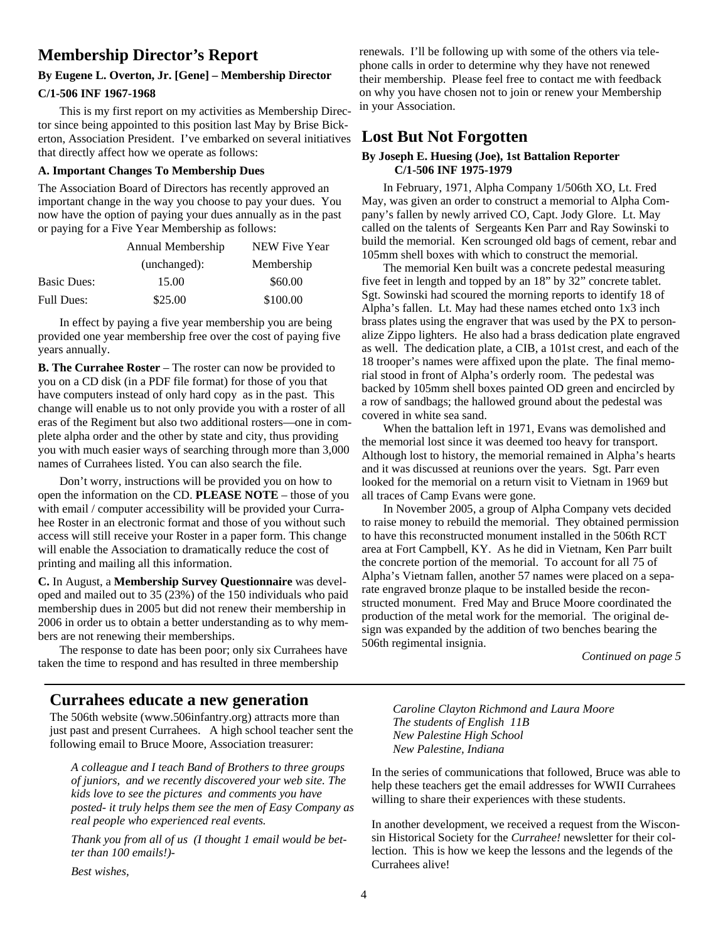## **Membership Director's Report**

### **By Eugene L. Overton, Jr. [Gene] – Membership Director**

#### **C/1-506 INF 1967-1968**

This is my first report on my activities as Membership Director since being appointed to this position last May by Brise Bickerton, Association President. I've embarked on several initiatives that directly affect how we operate as follows:

#### **A. Important Changes To Membership Dues**

The Association Board of Directors has recently approved an important change in the way you choose to pay your dues. You now have the option of paying your dues annually as in the past or paying for a Five Year Membership as follows:

|                    | Annual Membership | NEW Five Year |
|--------------------|-------------------|---------------|
|                    | (unchanged):      | Membership    |
| <b>Basic Dues:</b> | 15.00             | \$60.00       |
| <b>Full Dues:</b>  | \$25.00           | \$100.00      |

 In effect by paying a five year membership you are being provided one year membership free over the cost of paying five years annually.

**B. The Currahee Roster** – The roster can now be provided to you on a CD disk (in a PDF file format) for those of you that have computers instead of only hard copy as in the past. This change will enable us to not only provide you with a roster of all eras of the Regiment but also two additional rosters—one in complete alpha order and the other by state and city, thus providing you with much easier ways of searching through more than 3,000 names of Currahees listed. You can also search the file.

 Don't worry, instructions will be provided you on how to open the information on the CD. **PLEASE NOTE** – those of you with email / computer accessibility will be provided your Currahee Roster in an electronic format and those of you without such access will still receive your Roster in a paper form. This change will enable the Association to dramatically reduce the cost of printing and mailing all this information.

**C.** In August, a **Membership Survey Questionnaire** was developed and mailed out to 35 (23%) of the 150 individuals who paid membership dues in 2005 but did not renew their membership in 2006 in order us to obtain a better understanding as to why members are not renewing their memberships.

The response to date has been poor; only six Currahees have taken the time to respond and has resulted in three membership

### **Currahees educate a new generation**

The 506th website (www.506infantry.org) attracts more than just past and present Currahees. A high school teacher sent the following email to Bruce Moore, Association treasurer:

*A colleague and I teach Band of Brothers to three groups of juniors, and we recently discovered your web site. The kids love to see the pictures and comments you have posted- it truly helps them see the men of Easy Company as real people who experienced real events.* 

*Thank you from all of us (I thought 1 email would be better than 100 emails!)-* 

*Best wishes,* 

renewals. I'll be following up with some of the others via telephone calls in order to determine why they have not renewed their membership. Please feel free to contact me with feedback on why you have chosen not to join or renew your Membership in your Association.

### **Lost But Not Forgotten**

#### **By Joseph E. Huesing (Joe), 1st Battalion Reporter C/1-506 INF 1975-1979**

 In February, 1971, Alpha Company 1/506th XO, Lt. Fred May, was given an order to construct a memorial to Alpha Company's fallen by newly arrived CO, Capt. Jody Glore. Lt. May called on the talents of Sergeants Ken Parr and Ray Sowinski to build the memorial. Ken scrounged old bags of cement, rebar and 105mm shell boxes with which to construct the memorial.

 The memorial Ken built was a concrete pedestal measuring five feet in length and topped by an 18" by 32" concrete tablet. Sgt. Sowinski had scoured the morning reports to identify 18 of Alpha's fallen. Lt. May had these names etched onto 1x3 inch brass plates using the engraver that was used by the PX to personalize Zippo lighters. He also had a brass dedication plate engraved as well. The dedication plate, a CIB, a 101st crest, and each of the 18 trooper's names were affixed upon the plate. The final memorial stood in front of Alpha's orderly room. The pedestal was backed by 105mm shell boxes painted OD green and encircled by a row of sandbags; the hallowed ground about the pedestal was covered in white sea sand.

 When the battalion left in 1971, Evans was demolished and the memorial lost since it was deemed too heavy for transport. Although lost to history, the memorial remained in Alpha's hearts and it was discussed at reunions over the years. Sgt. Parr even looked for the memorial on a return visit to Vietnam in 1969 but all traces of Camp Evans were gone.

 In November 2005, a group of Alpha Company vets decided to raise money to rebuild the memorial. They obtained permission to have this reconstructed monument installed in the 506th RCT area at Fort Campbell, KY. As he did in Vietnam, Ken Parr built the concrete portion of the memorial. To account for all 75 of Alpha's Vietnam fallen, another 57 names were placed on a separate engraved bronze plaque to be installed beside the reconstructed monument. Fred May and Bruce Moore coordinated the production of the metal work for the memorial. The original design was expanded by the addition of two benches bearing the 506th regimental insignia.

*Continued on page 5* 

*Caroline Clayton Richmond and Laura Moore The students of English 11B New Palestine High School New Palestine, Indiana* 

In the series of communications that followed, Bruce was able to help these teachers get the email addresses for WWII Currahees willing to share their experiences with these students.

In another development, we received a request from the Wisconsin Historical Society for the *Currahee!* newsletter for their collection. This is how we keep the lessons and the legends of the Currahees alive!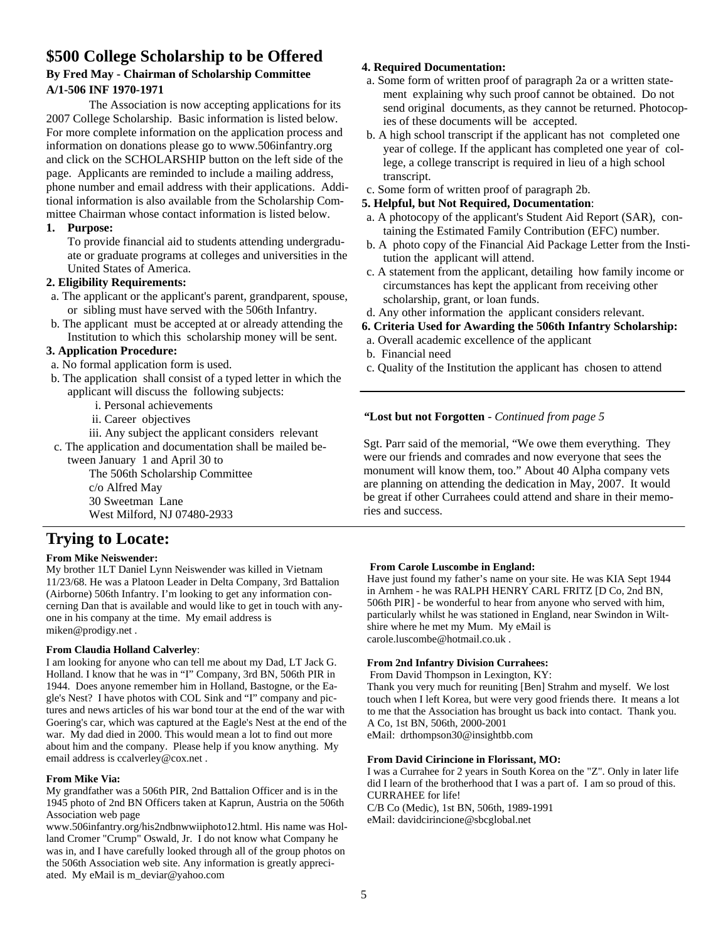### **\$500 College Scholarship to be Offered By Fred May - Chairman of Scholarship Committee A/1-506 INF 1970-1971**

 The Association is now accepting applications for its 2007 College Scholarship. Basic information is listed below. For more complete information on the application process and information on donations please go to www.506infantry.org and click on the SCHOLARSHIP button on the left side of the page. Applicants are reminded to include a mailing address, phone number and email address with their applications. Additional information is also available from the Scholarship Committee Chairman whose contact information is listed below.

#### **1. Purpose:**

To provide financial aid to students attending undergraduate or graduate programs at colleges and universities in the United States of America.

#### **2. Eligibility Requirements:**

- a. The applicant or the applicant's parent, grandparent, spouse, or sibling must have served with the 506th Infantry.
- b. The applicant must be accepted at or already attending the Institution to which this scholarship money will be sent.

#### **3. Application Procedure:**

- a. No formal application form is used.
- b. The application shall consist of a typed letter in which the applicant will discuss the following subjects:
	- i. Personal achievements
	- ii. Career objectives
	- iii. Any subject the applicant considers relevant

 c. The application and documentation shall be mailed between January 1 and April 30 to

> The 506th Scholarship Committee c/o Alfred May 30 Sweetman Lane West Milford, NJ 07480-2933

# **Trying to Locate:**

#### **From Mike Neiswender:**

My brother 1LT Daniel Lynn Neiswender was killed in Vietnam 11/23/68. He was a Platoon Leader in Delta Company, 3rd Battalion (Airborne) 506th Infantry. I'm looking to get any information concerning Dan that is available and would like to get in touch with anyone in his company at the time. My email address is miken@prodigy.net .

#### **From Claudia Holland Calverley**:

I am looking for anyone who can tell me about my Dad, LT Jack G. Holland. I know that he was in "I" Company, 3rd BN, 506th PIR in 1944. Does anyone remember him in Holland, Bastogne, or the Eagle's Nest? I have photos with COL Sink and "I" company and pictures and news articles of his war bond tour at the end of the war with Goering's car, which was captured at the Eagle's Nest at the end of the war. My dad died in 2000. This would mean a lot to find out more about him and the company. Please help if you know anything. My email address is ccalverley@cox.net .

#### **From Mike Via:**

My grandfather was a 506th PIR, 2nd Battalion Officer and is in the 1945 photo of 2nd BN Officers taken at Kaprun, Austria on the 506th Association web page

www.506infantry.org/his2ndbnwwiiphoto12.html. His name was Holland Cromer "Crump" Oswald, Jr. I do not know what Company he was in, and I have carefully looked through all of the group photos on the 506th Association web site. Any information is greatly appreciated. My eMail is m\_deviar@yahoo.com

#### **4. Required Documentation:**

- a. Some form of written proof of paragraph 2a or a written statement explaining why such proof cannot be obtained. Do not send original documents, as they cannot be returned. Photocopies of these documents will be accepted.
- b. A high school transcript if the applicant has not completed one year of college. If the applicant has completed one year of college, a college transcript is required in lieu of a high school transcript.
- c. Some form of written proof of paragraph 2b.

#### **5. Helpful, but Not Required, Documentation**:

- a. A photocopy of the applicant's Student Aid Report (SAR), containing the Estimated Family Contribution (EFC) number.
- b. A photo copy of the Financial Aid Package Letter from the Institution the applicant will attend.
- c. A statement from the applicant, detailing how family income or circumstances has kept the applicant from receiving other scholarship, grant, or loan funds.
- d. Any other information the applicant considers relevant.

#### **6. Criteria Used for Awarding the 506th Infantry Scholarship:**

- a. Overall academic excellence of the applicant
- b. Financial need
- c. Quality of the Institution the applicant has chosen to attend

#### *"***Lost but not Forgotten** - *Continued from page 5*

Sgt. Parr said of the memorial, "We owe them everything. They were our friends and comrades and now everyone that sees the monument will know them, too." About 40 Alpha company vets are planning on attending the dedication in May, 2007. It would be great if other Currahees could attend and share in their memories and success.

#### **From Carole Luscombe in England:**

Have just found my father's name on your site. He was KIA Sept 1944 in Arnhem - he was RALPH HENRY CARL FRITZ [D Co, 2nd BN, 506th PIR] - be wonderful to hear from anyone who served with him, particularly whilst he was stationed in England, near Swindon in Wiltshire where he met my Mum. My eMail is carole.luscombe@hotmail.co.uk .

#### **From 2nd Infantry Division Currahees:**

From David Thompson in Lexington, KY:

Thank you very much for reuniting [Ben] Strahm and myself. We lost touch when I left Korea, but were very good friends there. It means a lot to me that the Association has brought us back into contact. Thank you. A Co, 1st BN, 506th, 2000-2001

eMail: drthompson30@insightbb.com

#### **From David Cirincione in Florissant, MO:**

I was a Currahee for 2 years in South Korea on the "Z". Only in later life did I learn of the brotherhood that I was a part of. I am so proud of this. CURRAHEE for life!

C/B Co (Medic), 1st BN, 506th, 1989-1991 eMail: davidcirincione@sbcglobal.net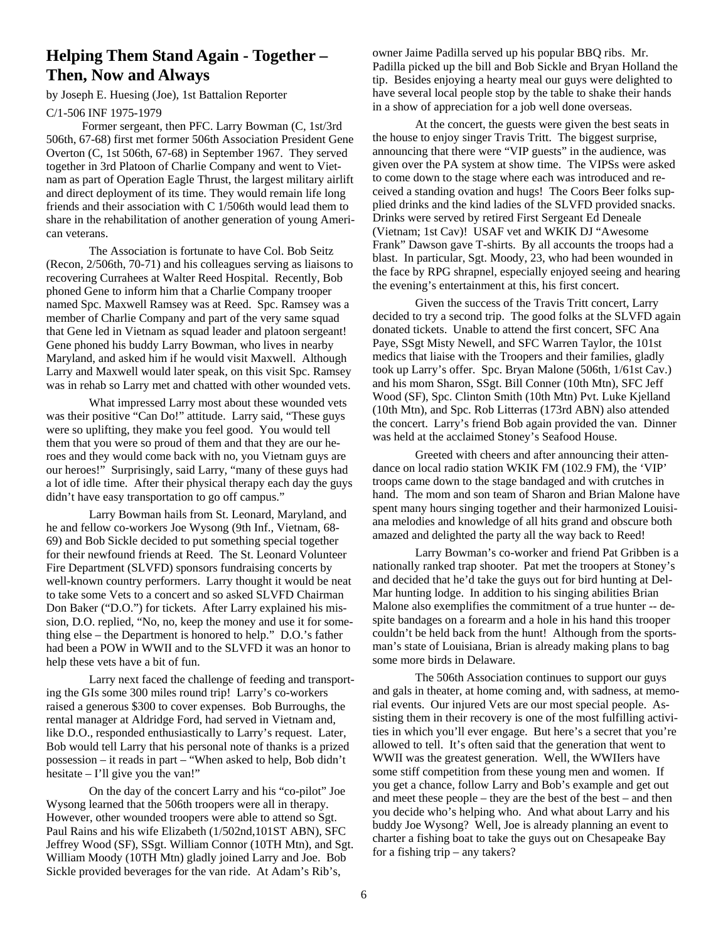## **Helping Them Stand Again - Together – Then, Now and Always**

#### by Joseph E. Huesing (Joe), 1st Battalion Reporter

C/1-506 INF 1975-1979

 Former sergeant, then PFC. Larry Bowman (C, 1st/3rd 506th, 67-68) first met former 506th Association President Gene Overton (C, 1st 506th, 67-68) in September 1967. They served together in 3rd Platoon of Charlie Company and went to Vietnam as part of Operation Eagle Thrust, the largest military airlift and direct deployment of its time. They would remain life long friends and their association with C 1/506th would lead them to share in the rehabilitation of another generation of young American veterans.

 The Association is fortunate to have Col. Bob Seitz (Recon, 2/506th, 70-71) and his colleagues serving as liaisons to recovering Currahees at Walter Reed Hospital. Recently, Bob phoned Gene to inform him that a Charlie Company trooper named Spc. Maxwell Ramsey was at Reed. Spc. Ramsey was a member of Charlie Company and part of the very same squad that Gene led in Vietnam as squad leader and platoon sergeant! Gene phoned his buddy Larry Bowman, who lives in nearby Maryland, and asked him if he would visit Maxwell. Although Larry and Maxwell would later speak, on this visit Spc. Ramsey was in rehab so Larry met and chatted with other wounded vets.

 What impressed Larry most about these wounded vets was their positive "Can Do!" attitude. Larry said, "These guys were so uplifting, they make you feel good. You would tell them that you were so proud of them and that they are our heroes and they would come back with no, you Vietnam guys are our heroes!" Surprisingly, said Larry, "many of these guys had a lot of idle time. After their physical therapy each day the guys didn't have easy transportation to go off campus."

 Larry Bowman hails from St. Leonard, Maryland, and he and fellow co-workers Joe Wysong (9th Inf., Vietnam, 68- 69) and Bob Sickle decided to put something special together for their newfound friends at Reed. The St. Leonard Volunteer Fire Department (SLVFD) sponsors fundraising concerts by well-known country performers. Larry thought it would be neat to take some Vets to a concert and so asked SLVFD Chairman Don Baker ("D.O.") for tickets. After Larry explained his mission, D.O. replied, "No, no, keep the money and use it for something else – the Department is honored to help." D.O.'s father had been a POW in WWII and to the SLVFD it was an honor to help these vets have a bit of fun.

 Larry next faced the challenge of feeding and transporting the GIs some 300 miles round trip! Larry's co-workers raised a generous \$300 to cover expenses. Bob Burroughs, the rental manager at Aldridge Ford, had served in Vietnam and, like D.O., responded enthusiastically to Larry's request. Later, Bob would tell Larry that his personal note of thanks is a prized possession – it reads in part – "When asked to help, Bob didn't hesitate – I'll give you the van!"

 On the day of the concert Larry and his "co-pilot" Joe Wysong learned that the 506th troopers were all in therapy. However, other wounded troopers were able to attend so Sgt. Paul Rains and his wife Elizabeth (1/502nd,101ST ABN), SFC Jeffrey Wood (SF), SSgt. William Connor (10TH Mtn), and Sgt. William Moody (10TH Mtn) gladly joined Larry and Joe. Bob Sickle provided beverages for the van ride. At Adam's Rib's,

owner Jaime Padilla served up his popular BBQ ribs. Mr. Padilla picked up the bill and Bob Sickle and Bryan Holland the tip. Besides enjoying a hearty meal our guys were delighted to have several local people stop by the table to shake their hands in a show of appreciation for a job well done overseas.

 At the concert, the guests were given the best seats in the house to enjoy singer Travis Tritt. The biggest surprise, announcing that there were "VIP guests" in the audience, was given over the PA system at show time. The VIPSs were asked to come down to the stage where each was introduced and received a standing ovation and hugs! The Coors Beer folks supplied drinks and the kind ladies of the SLVFD provided snacks. Drinks were served by retired First Sergeant Ed Deneale (Vietnam; 1st Cav)! USAF vet and WKIK DJ "Awesome Frank" Dawson gave T-shirts. By all accounts the troops had a blast. In particular, Sgt. Moody, 23, who had been wounded in the face by RPG shrapnel, especially enjoyed seeing and hearing the evening's entertainment at this, his first concert.

 Given the success of the Travis Tritt concert, Larry decided to try a second trip. The good folks at the SLVFD again donated tickets. Unable to attend the first concert, SFC Ana Paye, SSgt Misty Newell, and SFC Warren Taylor, the 101st medics that liaise with the Troopers and their families, gladly took up Larry's offer. Spc. Bryan Malone (506th, 1/61st Cav.) and his mom Sharon, SSgt. Bill Conner (10th Mtn), SFC Jeff Wood (SF), Spc. Clinton Smith (10th Mtn) Pvt. Luke Kjelland (10th Mtn), and Spc. Rob Litterras (173rd ABN) also attended the concert. Larry's friend Bob again provided the van. Dinner was held at the acclaimed Stoney's Seafood House.

 Greeted with cheers and after announcing their attendance on local radio station WKIK FM (102.9 FM), the 'VIP' troops came down to the stage bandaged and with crutches in hand. The mom and son team of Sharon and Brian Malone have spent many hours singing together and their harmonized Louisiana melodies and knowledge of all hits grand and obscure both amazed and delighted the party all the way back to Reed!

 Larry Bowman's co-worker and friend Pat Gribben is a nationally ranked trap shooter. Pat met the troopers at Stoney's and decided that he'd take the guys out for bird hunting at Del-Mar hunting lodge. In addition to his singing abilities Brian Malone also exemplifies the commitment of a true hunter -- despite bandages on a forearm and a hole in his hand this trooper couldn't be held back from the hunt! Although from the sportsman's state of Louisiana, Brian is already making plans to bag some more birds in Delaware.

 The 506th Association continues to support our guys and gals in theater, at home coming and, with sadness, at memorial events. Our injured Vets are our most special people. Assisting them in their recovery is one of the most fulfilling activities in which you'll ever engage. But here's a secret that you're allowed to tell. It's often said that the generation that went to WWII was the greatest generation. Well, the WWIIers have some stiff competition from these young men and women. If you get a chance, follow Larry and Bob's example and get out and meet these people – they are the best of the best – and then you decide who's helping who. And what about Larry and his buddy Joe Wysong? Well, Joe is already planning an event to charter a fishing boat to take the guys out on Chesapeake Bay for a fishing trip – any takers?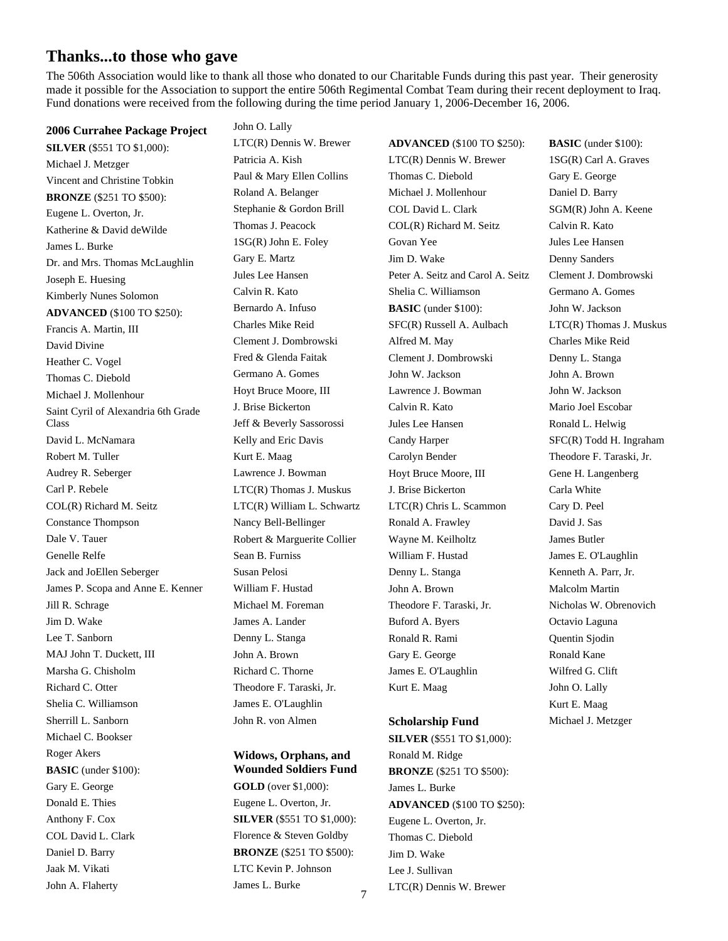### **Thanks...to those who gave**

The 506th Association would like to thank all those who donated to our Charitable Funds during this past year. Their generosity made it possible for the Association to support the entire 506th Regimental Combat Team during their recent deployment to Iraq. Fund donations were received from the following during the time period January 1, 2006-December 16, 2006.

**2006 Currahee Package Project SILVER** (\$551 TO \$1,000): Michael J. Metzger Vincent and Christine Tobkin **BRONZE** (\$251 TO \$500): Eugene L. Overton, Jr. Katherine & David deWilde James L. Burke Dr. and Mrs. Thomas McLaughlin Joseph E. Huesing Kimberly Nunes Solomon **ADVANCED** (\$100 TO \$250): Francis A. Martin, III David Divine Heather C. Vogel Thomas C. Diebold Michael J. Mollenhour Saint Cyril of Alexandria 6th Grade Class David L. McNamara Robert M. Tuller Audrey R. Seberger Carl P. Rebele COL(R) Richard M. Seitz Constance Thompson Dale V. Tauer Genelle Relfe Jack and JoEllen Seberger James P. Scopa and Anne E. Kenner Jill R. Schrage Jim D. Wake Lee T. Sanborn MAJ John T. Duckett, III Marsha G. Chisholm Richard C. Otter Shelia C. Williamson Sherrill L. Sanborn Michael C. Bookser Roger Akers **BASIC** (under \$100): Gary E. George Donald E. Thies Anthony F. Cox COL David L. Clark Daniel D. Barry Jaak M. Vikati John A. Flaherty

John O. Lally LTC(R) Dennis W. Brewer Patricia A. Kish Paul & Mary Ellen Collins Roland A. Belanger Stephanie & Gordon Brill Thomas J. Peacock 1SG(R) John E. Foley Gary E. Martz Jules Lee Hansen Calvin R. Kato Bernardo A. Infuso Charles Mike Reid Clement J. Dombrowski Fred & Glenda Faitak Germano A. Gomes Hoyt Bruce Moore, III J. Brise Bickerton Jeff & Beverly Sassorossi Kelly and Eric Davis Kurt E. Maag Lawrence J. Bowman LTC(R) Thomas J. Muskus LTC(R) William L. Schwartz Nancy Bell-Bellinger Robert & Marguerite Collier Sean B. Furniss Susan Pelosi William F. Hustad Michael M. Foreman James A. Lander Denny L. Stanga John A. Brown Richard C. Thorne Theodore F. Taraski, Jr. James E. O'Laughlin John R. von Almen

#### **Widows, Orphans, and Wounded Soldiers Fund GOLD** (over \$1,000): Eugene L. Overton, Jr. **SILVER** (\$551 TO \$1,000): Florence & Steven Goldby **BRONZE** (\$251 TO \$500): LTC Kevin P. Johnson

James L. Burke

**ADVANCED** (\$100 TO \$250): LTC(R) Dennis W. Brewer Thomas C. Diebold Michael J. Mollenhour COL David L. Clark COL(R) Richard M. Seitz Govan Yee Jim D. Wake Peter A. Seitz and Carol A. Seitz Shelia C. Williamson **BASIC** (under \$100): SFC(R) Russell A. Aulbach Alfred M. May Clement J. Dombrowski John W. Jackson Lawrence J. Bowman Calvin R. Kato Jules Lee Hansen Candy Harper Carolyn Bender Hoyt Bruce Moore, III J. Brise Bickerton LTC(R) Chris L. Scammon Ronald A. Frawley Wayne M. Keilholtz William F. Hustad Denny L. Stanga John A. Brown Theodore F. Taraski, Jr. Buford A. Byers Ronald R. Rami Gary E. George James E. O'Laughlin Kurt E. Maag

### **Scholarship Fund SILVER** (\$551 TO \$1,000): Ronald M. Ridge **BRONZE** (\$251 TO \$500): James L. Burke **ADVANCED** (\$100 TO \$250): Eugene L. Overton, Jr. Thomas C. Diebold Jim D. Wake Lee J. Sullivan LTC(R) Dennis W. Brewer

**BASIC** (under \$100): 1SG(R) Carl A. Graves Gary E. George Daniel D. Barry SGM(R) John A. Keene Calvin R. Kato Jules Lee Hansen Denny Sanders Clement J. Dombrowski Germano A. Gomes John W. Jackson LTC(R) Thomas J. Muskus Charles Mike Reid Denny L. Stanga John A. Brown John W. Jackson Mario Joel Escobar Ronald L. Helwig SFC(R) Todd H. Ingraham Theodore F. Taraski, Jr. Gene H. Langenberg Carla White Cary D. Peel David J. Sas James Butler James E. O'Laughlin Kenneth A. Parr, Jr. Malcolm Martin Nicholas W. Obrenovich Octavio Laguna Quentin Sjodin Ronald Kane Wilfred G. Clift John O. Lally Kurt E. Maag Michael J. Metzger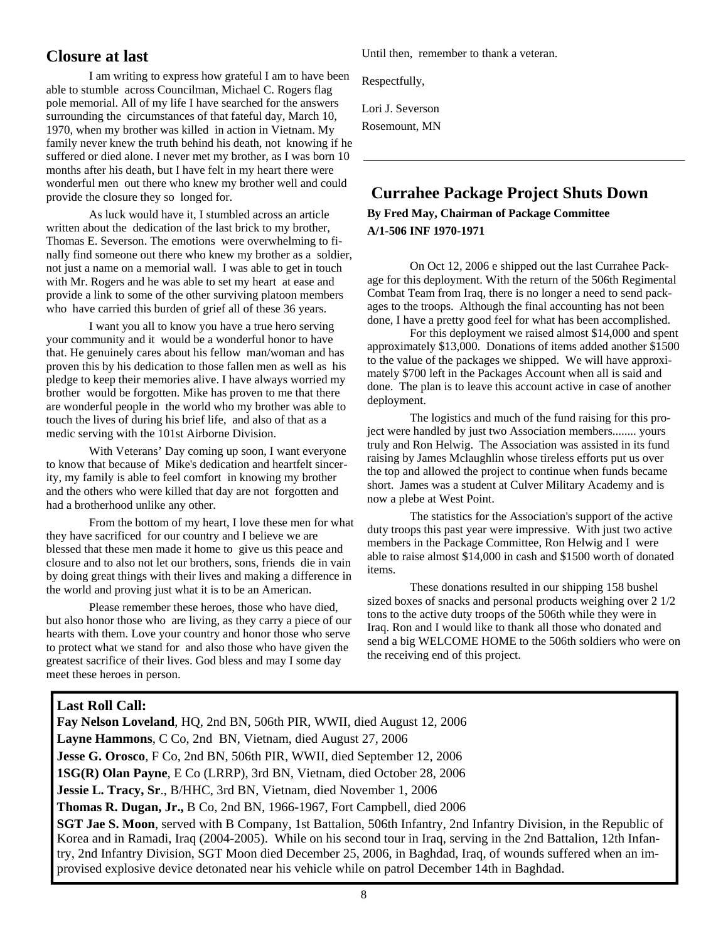# **Closure at last**

 I am writing to express how grateful I am to have been able to stumble across Councilman, Michael C. Rogers flag pole memorial. All of my life I have searched for the answers surrounding the circumstances of that fateful day, March 10, 1970, when my brother was killed in action in Vietnam. My family never knew the truth behind his death, not knowing if he suffered or died alone. I never met my brother, as I was born 10 months after his death, but I have felt in my heart there were wonderful men out there who knew my brother well and could provide the closure they so longed for.

 As luck would have it, I stumbled across an article written about the dedication of the last brick to my brother, Thomas E. Severson. The emotions were overwhelming to finally find someone out there who knew my brother as a soldier, not just a name on a memorial wall. I was able to get in touch with Mr. Rogers and he was able to set my heart at ease and provide a link to some of the other surviving platoon members who have carried this burden of grief all of these 36 years.

 I want you all to know you have a true hero serving your community and it would be a wonderful honor to have that. He genuinely cares about his fellow man/woman and has proven this by his dedication to those fallen men as well as his pledge to keep their memories alive. I have always worried my brother would be forgotten. Mike has proven to me that there are wonderful people in the world who my brother was able to touch the lives of during his brief life, and also of that as a medic serving with the 101st Airborne Division.

 With Veterans' Day coming up soon, I want everyone to know that because of Mike's dedication and heartfelt sincerity, my family is able to feel comfort in knowing my brother and the others who were killed that day are not forgotten and had a brotherhood unlike any other.

 From the bottom of my heart, I love these men for what they have sacrificed for our country and I believe we are blessed that these men made it home to give us this peace and closure and to also not let our brothers, sons, friends die in vain by doing great things with their lives and making a difference in the world and proving just what it is to be an American.

 Please remember these heroes, those who have died, but also honor those who are living, as they carry a piece of our hearts with them. Love your country and honor those who serve to protect what we stand for and also those who have given the greatest sacrifice of their lives. God bless and may I some day meet these heroes in person.

Until then, remember to thank a veteran.

Respectfully,

Lori J. Severson

Rosemount, MN

# **Currahee Package Project Shuts Down**

**By Fred May, Chairman of Package Committee A/1-506 INF 1970-1971** 

 On Oct 12, 2006 e shipped out the last Currahee Package for this deployment. With the return of the 506th Regimental Combat Team from Iraq, there is no longer a need to send packages to the troops. Although the final accounting has not been done, I have a pretty good feel for what has been accomplished.

 For this deployment we raised almost \$14,000 and spent approximately \$13,000. Donations of items added another \$1500 to the value of the packages we shipped. We will have approximately \$700 left in the Packages Account when all is said and done. The plan is to leave this account active in case of another deployment.

 The logistics and much of the fund raising for this project were handled by just two Association members........ yours truly and Ron Helwig. The Association was assisted in its fund raising by James Mclaughlin whose tireless efforts put us over the top and allowed the project to continue when funds became short. James was a student at Culver Military Academy and is now a plebe at West Point.

 The statistics for the Association's support of the active duty troops this past year were impressive. With just two active members in the Package Committee, Ron Helwig and I were able to raise almost \$14,000 in cash and \$1500 worth of donated items.

 These donations resulted in our shipping 158 bushel sized boxes of snacks and personal products weighing over 2 1/2 tons to the active duty troops of the 506th while they were in Iraq. Ron and I would like to thank all those who donated and send a big WELCOME HOME to the 506th soldiers who were on the receiving end of this project.

#### **Last Roll Call:**

**Fay Nelson Loveland**, HQ, 2nd BN, 506th PIR, WWII, died August 12, 2006 **Layne Hammons**, C Co, 2nd BN, Vietnam, died August 27, 2006 **Jesse G. Orosco**, F Co, 2nd BN, 506th PIR, WWII, died September 12, 2006 **1SG(R) Olan Payne**, E Co (LRRP), 3rd BN, Vietnam, died October 28, 2006 **Jessie L. Tracy, Sr**., B/HHC, 3rd BN, Vietnam, died November 1, 2006 **Thomas R. Dugan, Jr.,** B Co, 2nd BN, 1966-1967, Fort Campbell, died 2006 **SGT Jae S. Moon**, served with B Company, 1st Battalion, 506th Infantry, 2nd Infantry Division, in the Republic of Korea and in Ramadi, Iraq (2004-2005). While on his second tour in Iraq, serving in the 2nd Battalion, 12th Infantry, 2nd Infantry Division, SGT Moon died December 25, 2006, in Baghdad, Iraq, of wounds suffered when an improvised explosive device detonated near his vehicle while on patrol December 14th in Baghdad.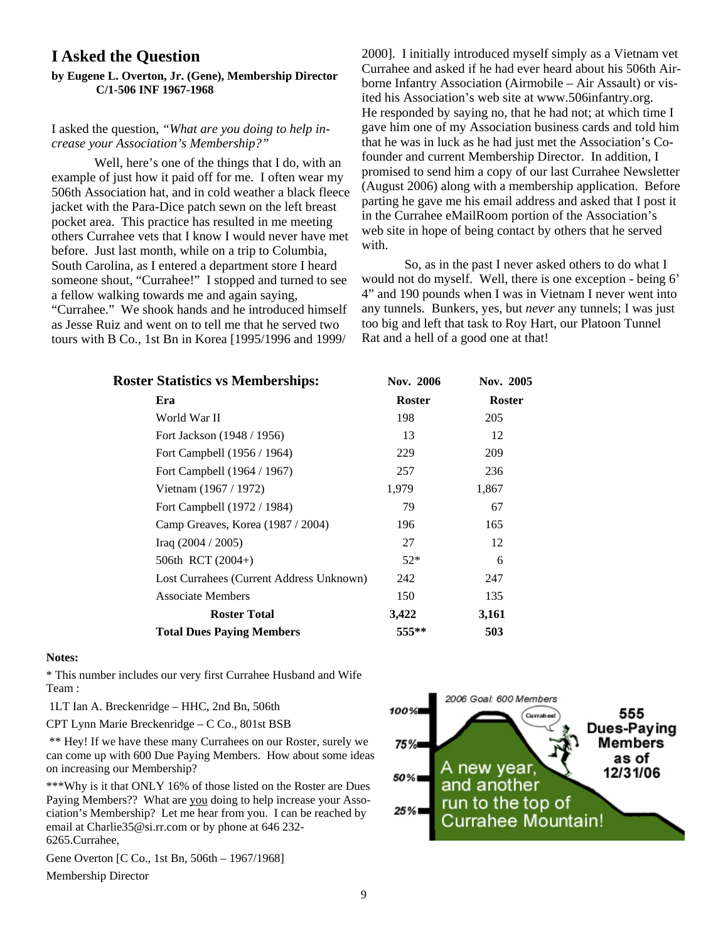### **I Asked the Question**

#### **by Eugene L. Overton, Jr. (Gene), Membership Director C/1-506 INF 1967-1968**

#### I asked the question, *"What are you doing to help increase your Association's Membership?"*

 Well, here's one of the things that I do, with an example of just how it paid off for me. I often wear my 506th Association hat, and in cold weather a black fleece jacket with the Para-Dice patch sewn on the left breast pocket area. This practice has resulted in me meeting others Currahee vets that I know I would never have met before. Just last month, while on a trip to Columbia, South Carolina, as I entered a department store I heard someone shout, "Currahee!" I stopped and turned to see a fellow walking towards me and again saying, "Currahee." We shook hands and he introduced himself as Jesse Ruiz and went on to tell me that he served two tours with B Co., 1st Bn in Korea [1995/1996 and 1999/

2000]. I initially introduced myself simply as a Vietnam vet Currahee and asked if he had ever heard about his 506th Airborne Infantry Association (Airmobile – Air Assault) or visited his Association's web site at www.506infantry.org. He responded by saying no, that he had not; at which time I gave him one of my Association business cards and told him that he was in luck as he had just met the Association's Cofounder and current Membership Director. In addition, I promised to send him a copy of our last Currahee Newsletter (August 2006) along with a membership application. Before parting he gave me his email address and asked that I post it in the Currahee eMailRoom portion of the Association's web site in hope of being contact by others that he served with.

 So, as in the past I never asked others to do what I would not do myself. Well, there is one exception - being 6' 4" and 190 pounds when I was in Vietnam I never went into any tunnels. Bunkers, yes, but *never* any tunnels; I was just too big and left that task to Roy Hart, our Platoon Tunnel Rat and a hell of a good one at that!

| <b>Roster Statistics vs Memberships:</b> | <b>Nov. 2006</b> | Nov. 2005     |
|------------------------------------------|------------------|---------------|
| Era                                      | <b>Roster</b>    | <b>Roster</b> |
| World War II                             | 198              | 205           |
| Fort Jackson (1948 / 1956)               | 13               | 12            |
| Fort Campbell (1956 / 1964)              | 229              | 209           |
| Fort Campbell (1964 / 1967)              | 257              | 236           |
| Vietnam (1967 / 1972)                    | 1,979            | 1,867         |
| Fort Campbell (1972 / 1984)              | 79               | 67            |
| Camp Greaves, Korea (1987 / 2004)        | 196              | 165           |
| Iraq $(2004 / 2005)$                     | 27               | 12            |
| 506th RCT (2004+)                        | $52*$            | 6             |
| Lost Currahees (Current Address Unknown) | 242              | 247           |
| <b>Associate Members</b>                 | 150              | 135           |
| <b>Roster Total</b>                      | 3,422            | 3,161         |
| <b>Total Dues Paying Members</b>         | $555***$         | 503           |
|                                          |                  |               |

#### **Notes:**

\* This number includes our very first Currahee Husband and Wife Team :

1LT Ian A. Breckenridge – HHC, 2nd Bn, 506th

CPT Lynn Marie Breckenridge – C Co., 801st BSB

 \*\* Hey! If we have these many Currahees on our Roster, surely we can come up with 600 Due Paying Members. How about some ideas on increasing our Membership?

\*\*\*Why is it that ONLY 16% of those listed on the Roster are Dues Paying Members?? What are you doing to help increase your Association's Membership? Let me hear from you. I can be reached by email at Charlie35@si.rr.com or by phone at 646 232- 6265.Currahee,

Gene Overton [C Co., 1st Bn, 506th – 1967/1968] Membership Director

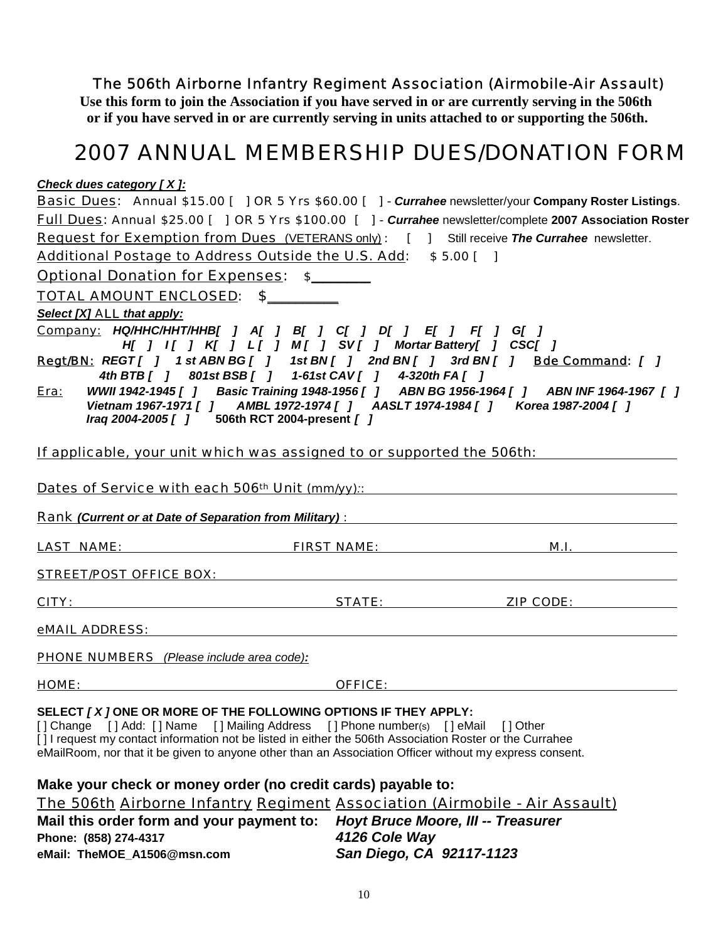# *The 506th Airborne Infantry Regiment Association (Airmobile-Air Assault)*

**Use this form to join the Association if you have served in or are currently serving in the 506th or if you have served in or are currently serving in units attached to or supporting the 506th.** 

# *2007 ANNUAL MEMBERSHIP DUES/DONATION FORM*

*Check dues category [ X ]:*

|                                                                                                                                                                                                                                |                                | <b>Basic Dues:</b> Annual \$15.00 [ ] OR 5 Yrs \$60.00 [ ] - Currahee newsletter/your Company Roster Listings. |  |  |
|--------------------------------------------------------------------------------------------------------------------------------------------------------------------------------------------------------------------------------|--------------------------------|----------------------------------------------------------------------------------------------------------------|--|--|
| Full Dues: Annual \$25.00 [ ] OR 5 Yrs \$100.00 [ ] - Currahee newsletter/complete 2007 Association Roster                                                                                                                     |                                |                                                                                                                |  |  |
| <b>Request for Exemption from Dues</b> (VETERANS only): [ ] Still receive The Currahee newsletter.                                                                                                                             |                                |                                                                                                                |  |  |
| Additional Postage to Address Outside the U.S. Add: \$5.00 []                                                                                                                                                                  |                                |                                                                                                                |  |  |
| <b>Optional Donation for Expenses: \$</b>                                                                                                                                                                                      |                                |                                                                                                                |  |  |
| <u>TOTAL AMOUNT ENCLOSED: \$________</u>                                                                                                                                                                                       |                                |                                                                                                                |  |  |
| Select [X] ALL that apply:                                                                                                                                                                                                     |                                |                                                                                                                |  |  |
| <u>Company:</u> HQ/HHC/HHT/HHB[ ] A[ ] B[ ] C[ ] D[ ] E[ ] F[ ] G[ ]<br>H[ ] I[ ] K[ ] L[ ] M[ ] SV[ ] Mortar Battery[ ] CSC[ ]                                                                                                |                                |                                                                                                                |  |  |
| Regt/BN: REGT[ ] 1 st ABN BG[ ] 1 st BN[ ] 2nd BN[ ] 3rd BN[ ] Bde Command: [ ]<br>4th BTB [ ] 801st BSB [ ] 1-61st CAV [ ] 4-320th FA [ ]                                                                                     |                                |                                                                                                                |  |  |
| <u>Era:</u>                                                                                                                                                                                                                    |                                | WWII 1942-1945 [ ] Basic Training 1948-1956 [ ] ABN BG 1956-1964 [ ] ABN INF 1964-1967 [ ]                     |  |  |
| Iraq 2004-2005 [ ] 506th RCT 2004-present [ ]                                                                                                                                                                                  |                                | Vietnam 1967-1971 [ ] AMBL 1972-1974 [ ] AASLT 1974-1984 [ ] Korea 1987-2004 [ ]                               |  |  |
|                                                                                                                                                                                                                                |                                |                                                                                                                |  |  |
| If applicable, your unit which was assigned to or supported the 506th:                                                                                                                                                         |                                |                                                                                                                |  |  |
|                                                                                                                                                                                                                                |                                |                                                                                                                |  |  |
|                                                                                                                                                                                                                                |                                | Dates of Service with each 506 <sup>th</sup> Unit (mm/yy):                                                     |  |  |
| <b>Rank (Current or at Date of Separation from Military):</b> Name of American Control of American Control of American                                                                                                         |                                |                                                                                                                |  |  |
| <u>LAST NAME:</u>                                                                                                                                                                                                              | <u>FIRST NAME:</u> FIRST NAME: | M.I.                                                                                                           |  |  |
| <u>STREET/POST OFFICE BOX: STREET/POST OFFICE BOX:</u>                                                                                                                                                                         |                                |                                                                                                                |  |  |
|                                                                                                                                                                                                                                |                                |                                                                                                                |  |  |
|                                                                                                                                                                                                                                |                                | <u>CITY: STATE: ZIP CODE:</u>                                                                                  |  |  |
| eMAIL ADDRESS: And the contract of the contract of the contract of the contract of the contract of the contract of the contract of the contract of the contract of the contract of the contract of the contract of the contrac |                                |                                                                                                                |  |  |
| <b>PHONE NUMBERS</b> (Please include area code):                                                                                                                                                                               |                                |                                                                                                                |  |  |
| HOME: OFFICE:                                                                                                                                                                                                                  |                                |                                                                                                                |  |  |
|                                                                                                                                                                                                                                |                                |                                                                                                                |  |  |
| SELECT [X] ONE OR MORE OF THE FOLLOWING OPTIONS IF THEY APPLY:<br>[] Change [] Add: [] Name [] Mailing Address [] Phone number(s) [] eMail [] Other                                                                            |                                |                                                                                                                |  |  |
| [1] request my contact information not be listed in either the 506th Association Roster or the Currahee                                                                                                                        |                                |                                                                                                                |  |  |
| eMailRoom, nor that it be given to anyone other than an Association Officer without my express consent.                                                                                                                        |                                |                                                                                                                |  |  |
| Make your check or money order (no credit cards) payable to:                                                                                                                                                                   |                                |                                                                                                                |  |  |
| The 506th Airborne Infantry Regiment Association (Airmobile - Air Assault)                                                                                                                                                     |                                |                                                                                                                |  |  |
|                                                                                                                                                                                                                                |                                |                                                                                                                |  |  |

**Mail this order form and your payment to:** *Hoyt Bruce Moore, III -- Treasurer*  **Phone: (858) 274-4317** *4126 Cole Way*  **eMail: TheMOE\_A1506@msn.com** *San Diego, CA 92117-1123*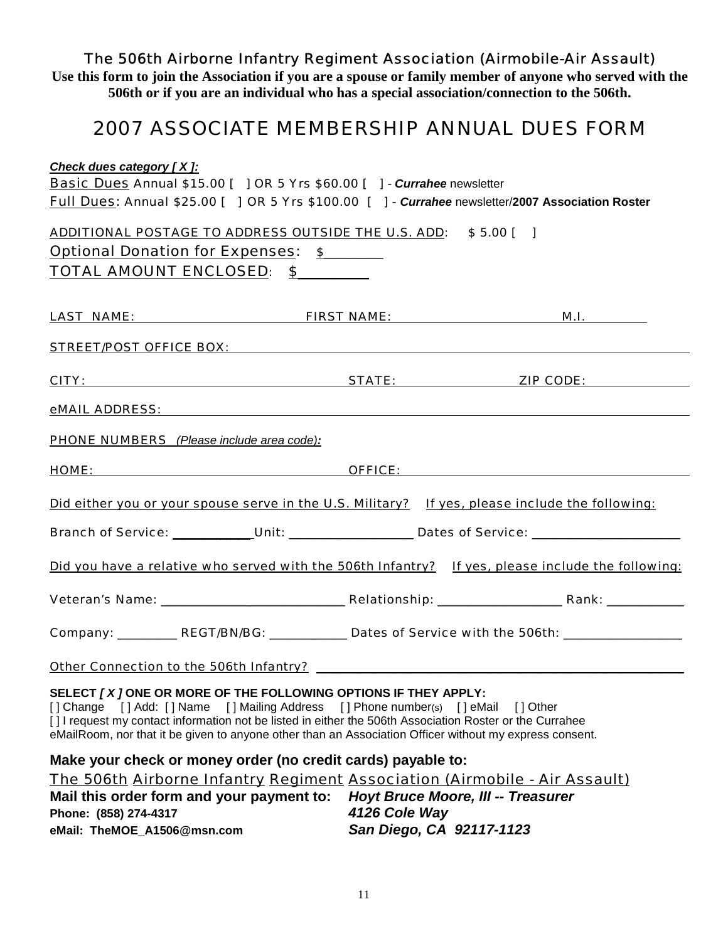# *The 506th Airborne Infantry Regiment Association (Airmobile-Air Assault)*

**Use this form to join the Association if you are a spouse or family member of anyone who served with the 506th or if you are an individual who has a special association/connection to the 506th.** 

# *2007 ASSOCIATE MEMBERSHIP ANNUAL DUES FORM*

| <b>Check dues category [X]:</b>                                                                                                                                                                                                                                                                                                                                   |                                           |                                                                                                   |
|-------------------------------------------------------------------------------------------------------------------------------------------------------------------------------------------------------------------------------------------------------------------------------------------------------------------------------------------------------------------|-------------------------------------------|---------------------------------------------------------------------------------------------------|
| <b>Basic Dues Annual \$15.00 [ ] OR 5 Yrs \$60.00 [ ] - Currahee newsletter</b>                                                                                                                                                                                                                                                                                   |                                           |                                                                                                   |
| Full Dues: Annual \$25.00 [ ] OR 5 Yrs \$100.00 [ ] - Currahee newsletter/2007 Association Roster                                                                                                                                                                                                                                                                 |                                           |                                                                                                   |
| ADDITIONAL POSTAGE TO ADDRESS OUTSIDE THE U.S. ADD: \$5.00 [ ]                                                                                                                                                                                                                                                                                                    |                                           |                                                                                                   |
| <b>Optional Donation for Expenses: \$</b>                                                                                                                                                                                                                                                                                                                         |                                           |                                                                                                   |
| TOTAL AMOUNT ENCLOSED: \$                                                                                                                                                                                                                                                                                                                                         |                                           |                                                                                                   |
|                                                                                                                                                                                                                                                                                                                                                                   |                                           |                                                                                                   |
|                                                                                                                                                                                                                                                                                                                                                                   |                                           | <u>M.I.</u>                                                                                       |
|                                                                                                                                                                                                                                                                                                                                                                   |                                           |                                                                                                   |
|                                                                                                                                                                                                                                                                                                                                                                   |                                           |                                                                                                   |
|                                                                                                                                                                                                                                                                                                                                                                   |                                           |                                                                                                   |
| <b>PHONE NUMBERS</b> (Please include area code):                                                                                                                                                                                                                                                                                                                  |                                           |                                                                                                   |
| <b>HOME: OFFICE: OFFICE: OFFICE: OFFICE: OFFICE: OFFICE: OFFICE: OFFICE: OFFICE: OFFICE: OFFICE: OFFICE: OFFICE: OFFICE: OFFICE: OFFICE: OFFICE: OFFICE: OFFICE: OFFICE: OFFICE: OFF</b>                                                                                                                                                                          |                                           |                                                                                                   |
| Did either you or your spouse serve in the U.S. Military? If yes, please include the following:                                                                                                                                                                                                                                                                   |                                           |                                                                                                   |
|                                                                                                                                                                                                                                                                                                                                                                   |                                           | Branch of Service: Unit: Unit: Unit: Dates of Service: _________________________                  |
|                                                                                                                                                                                                                                                                                                                                                                   |                                           | Did you have a relative who served with the 506th Infantry? If yes, please include the following: |
|                                                                                                                                                                                                                                                                                                                                                                   |                                           |                                                                                                   |
|                                                                                                                                                                                                                                                                                                                                                                   |                                           | Company: __________ REGT/BN/BG: ___________ Dates of Service with the 506th: ________________     |
|                                                                                                                                                                                                                                                                                                                                                                   |                                           |                                                                                                   |
| SELECT [X] ONE OR MORE OF THE FOLLOWING OPTIONS IF THEY APPLY:<br>[] Change [] Add: [] Name [] Mailing Address [] Phone number(s) [] eMail<br>[] I request my contact information not be listed in either the 506th Association Roster or the Currahee<br>eMailRoom, nor that it be given to anyone other than an Association Officer without my express consent. |                                           | [ ] Other                                                                                         |
| Make your check or money order (no credit cards) payable to:                                                                                                                                                                                                                                                                                                      |                                           |                                                                                                   |
| The 506th Airborne Infantry Regiment Association (Airmobile - Air Assault)                                                                                                                                                                                                                                                                                        |                                           |                                                                                                   |
| Mail this order form and your payment to:                                                                                                                                                                                                                                                                                                                         | <b>Hoyt Bruce Moore, III -- Treasurer</b> |                                                                                                   |
| Phone: (858) 274-4317                                                                                                                                                                                                                                                                                                                                             | 4126 Cole Way                             |                                                                                                   |
| eMail: TheMOE_A1506@msn.com                                                                                                                                                                                                                                                                                                                                       | San Diego, CA 92117-1123                  |                                                                                                   |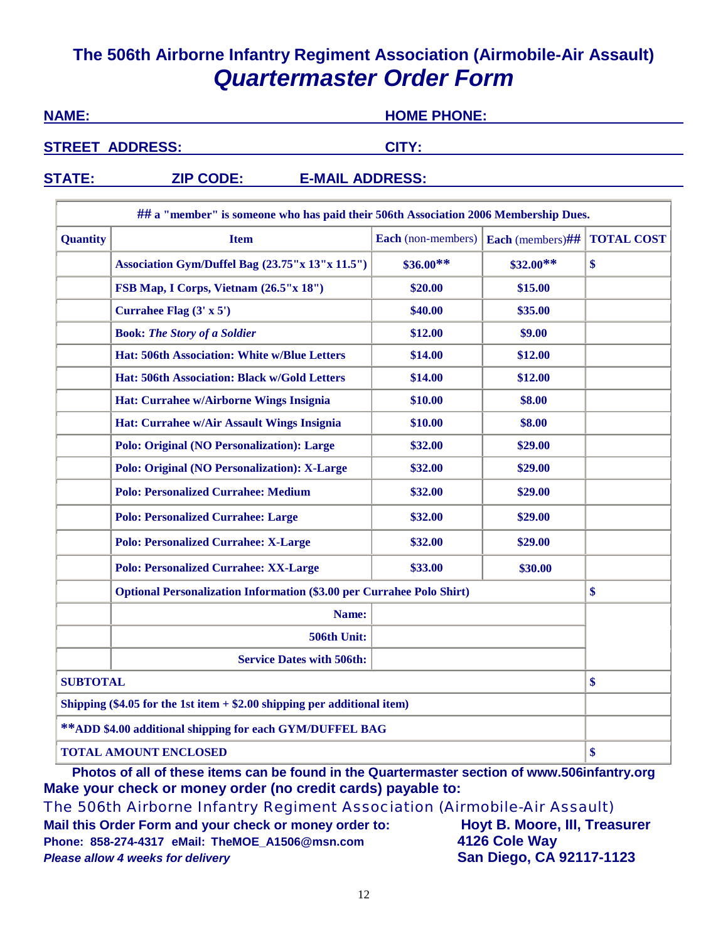# **The 506th Airborne Infantry Regiment Association (Airmobile-Air Assault)**  *Quartermaster Order Form*

| <b>NAME:</b>           |                 |                                                                                     |                           | <b>HOME PHONE:</b>      |                   |  |
|------------------------|-----------------|-------------------------------------------------------------------------------------|---------------------------|-------------------------|-------------------|--|
| <b>STREET ADDRESS:</b> |                 | CITY:                                                                               |                           |                         |                   |  |
|                        | <b>STATE:</b>   | <b>E-MAIL ADDRESS:</b><br><b>ZIP CODE:</b>                                          |                           |                         |                   |  |
|                        |                 | ## a "member" is someone who has paid their 506th Association 2006 Membership Dues. |                           |                         |                   |  |
|                        | <b>Quantity</b> | <b>Item</b>                                                                         | <b>Each</b> (non-members) | <b>Each</b> (members)## | <b>TOTAL COST</b> |  |
|                        |                 | Association Gym/Duffel Bag (23.75"x 13"x 11.5")                                     | $$36.00**$                | $$32.00**$$             | \$                |  |
|                        |                 | FSB Map, I Corps, Vietnam (26.5"x 18")                                              | \$20.00                   | \$15.00                 |                   |  |

**Currahee Flag** (3' x 5') **\$40.00 \$35.00 Book:** *The Story of a Soldier* **\$12.00 \$9.00 Hat: 506th Association: White w/Blue Letters \$14.00 \$12.00 Hat: 506th Association: Black w/Gold Letters \$14.00 \$12.00 Hat: Currahee w/Airborne Wings Insignia \$10.00 \$8.00 Hat: Currahee w/Air Assault Wings Insignia \$10.00 \$8.00 Polo: Original (NO Personalization): Large**  $$32.00$  **| \$29.00** \$29.00 **Polo: Original (NO Personalization): X-Large**  $$32.00$  **\$29.00** \$29.00 **Polo: Personalized Currahee: Medium \$32.00 \$29.00**

**Polo: Personalized Currahee: Large**  $$32.00$  **| \$29.00** 

**Polo: Personalized Currahee: X-Large**  $\qquad$  **\$32.00**  $\qquad$  \$29.00

**Polo: Personalized Currahee: XX-Large**  $$33.00$  **\$30.00** \$30.00

**506th Unit:**

**SUBTOTAL \$**

**Service Dates with 506th:**

**Optional Personalization Information (\$3.00 per Currahee Polo Shirt) \$ Name:**

**Photos of all of these items can be found in the Quartermaster section of www.506infantry.org Make your check or money order (no credit cards) payable to:**

*The 506th Airborne Infantry Regiment Association (Airmobile-Air Assault)* 

**TOTAL AMOUNT ENCLOSED \$**

**Mail this Order Form and your check or money order to: Hoyt B. Moore, III, Treasurer Phone: 858-274-4317 eMail: TheMOE\_A1506@msn.com 4126 Cole Way** *Please allow 4 weeks for delivery* **San Diego, CA 92117-1123**

**Shipping (\$4.05 for the 1st item + \$2.00 shipping per additional item)**

**\*\*ADD \$4.00 additional shipping for each GYM/DUFFEL BAG**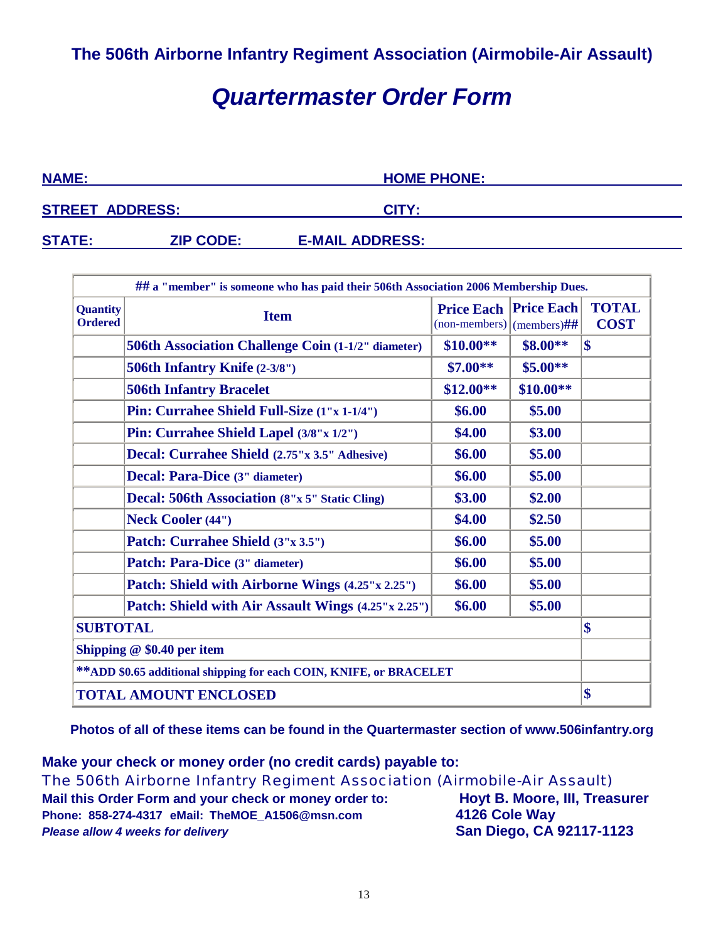# *Quartermaster Order Form*

| <b>NAME:</b>  |                        | <b>HOME PHONE:</b>     |  |
|---------------|------------------------|------------------------|--|
|               | <b>STREET ADDRESS:</b> | CITY:                  |  |
| <b>STATE:</b> | <b>ZIP CODE:</b>       | <b>E-MAIL ADDRESS:</b> |  |

|                                                                         | ## a "member" is someone who has paid their 506th Association 2006 Membership Dues. |                                                  |                   |                             |  |
|-------------------------------------------------------------------------|-------------------------------------------------------------------------------------|--------------------------------------------------|-------------------|-----------------------------|--|
| <b>Quantity</b><br><b>Ordered</b>                                       | <b>Item</b>                                                                         | <b>Price Each</b><br>$(non-members)$ (members)## | <b>Price Each</b> | <b>TOTAL</b><br><b>COST</b> |  |
|                                                                         | <b>506th Association Challenge Coin (1-1/2" diameter)</b>                           | $$10.00**$                                       | \$8.00**          | $\boldsymbol{\$\}$          |  |
|                                                                         | 506th Infantry Knife (2-3/8")                                                       | $$7.00**$                                        | $$5.00**$$        |                             |  |
|                                                                         | <b>506th Infantry Bracelet</b>                                                      | $$12.00**$                                       | $$10.00**$        |                             |  |
|                                                                         | Pin: Currahee Shield Full-Size (1"x 1-1/4")                                         | \$6.00                                           | \$5.00            |                             |  |
|                                                                         | Pin: Currahee Shield Lapel (3/8"x 1/2")                                             | \$4.00                                           | \$3.00            |                             |  |
|                                                                         | Decal: Currahee Shield (2.75"x 3.5" Adhesive)                                       | \$6.00                                           | \$5.00            |                             |  |
|                                                                         | Decal: Para-Dice (3" diameter)                                                      | \$6.00                                           | \$5.00            |                             |  |
|                                                                         | <b>Decal: 506th Association (8"x 5" Static Cling)</b>                               | \$3.00                                           | \$2.00            |                             |  |
|                                                                         | <b>Neck Cooler (44")</b>                                                            | \$4.00                                           | \$2.50            |                             |  |
|                                                                         | Patch: Currahee Shield (3"x 3.5")                                                   | \$6.00                                           | \$5.00            |                             |  |
|                                                                         | Patch: Para-Dice (3" diameter)                                                      | \$6.00                                           | \$5.00            |                             |  |
|                                                                         | Patch: Shield with Airborne Wings (4.25"x 2.25")                                    | \$6.00                                           | \$5.00            |                             |  |
| \$6.00<br>\$5.00<br>Patch: Shield with Air Assault Wings (4.25"x 2.25") |                                                                                     |                                                  |                   |                             |  |
| <b>SUBTOTAL</b>                                                         |                                                                                     |                                                  |                   |                             |  |
| Shipping $@$ \$0.40 per item                                            |                                                                                     |                                                  |                   |                             |  |
| ** ADD \$0.65 additional shipping for each COIN, KNIFE, or BRACELET     |                                                                                     |                                                  |                   |                             |  |
| <b>TOTAL AMOUNT ENCLOSED</b>                                            |                                                                                     |                                                  |                   | \$                          |  |

**Photos of all of these items can be found in the Quartermaster section of www.506infantry.org** 

**Make your check or money order (no credit cards) payable to:** *The 506th Airborne Infantry Regiment Association (Airmobile-Air Assault)*  **Mail this Order Form and your check or money order to: Hoyt B. Moore, III, Treasurer Phone: 858-274-4317 eMail: TheMOE\_A1506@msn.com 4126 Cole Way** *Please allow 4 weeks for delivery* **San Diego, CA 92117-1123**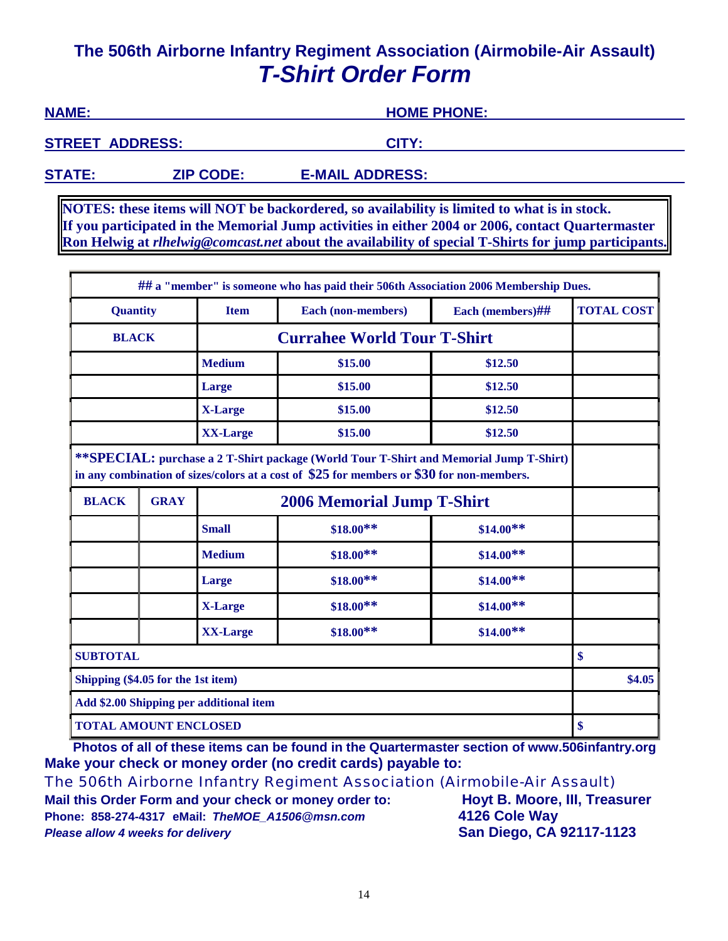# **The 506th Airborne Infantry Regiment Association (Airmobile-Air Assault)**  *T-Shirt Order Form*

**NAME: HOME PHONE: STREET ADDRESS:** CITY: **STATE: ZIP CODE: E-MAIL ADDRESS:** 

**NOTES: these items will NOT be backordered, so availability is limited to what is in stock. If you participated in the Memorial Jump activities in either 2004 or 2006, contact Quartermaster Ron Helwig at** *rlhelwig@comcast.net* **about the availability of special T-Shirts for jump participants.**

|                                                                                                                                                                                     |                                                                          |                 | ## a "member" is someone who has paid their 506th Association 2006 Membership Dues. |                   |    |
|-------------------------------------------------------------------------------------------------------------------------------------------------------------------------------------|--------------------------------------------------------------------------|-----------------|-------------------------------------------------------------------------------------|-------------------|----|
|                                                                                                                                                                                     | <b>Quantity</b><br>Each (non-members)<br><b>Item</b><br>Each (members)## |                 |                                                                                     | <b>TOTAL COST</b> |    |
| <b>BLACK</b>                                                                                                                                                                        |                                                                          |                 | <b>Currahee World Tour T-Shirt</b>                                                  |                   |    |
|                                                                                                                                                                                     |                                                                          | <b>Medium</b>   | \$15.00                                                                             | \$12.50           |    |
|                                                                                                                                                                                     |                                                                          | Large           | \$15.00                                                                             | \$12.50           |    |
|                                                                                                                                                                                     |                                                                          | <b>X-Large</b>  | \$15.00                                                                             | \$12.50           |    |
|                                                                                                                                                                                     |                                                                          | <b>XX-Large</b> | \$15.00                                                                             | \$12.50           |    |
| **SPECIAL: purchase a 2 T-Shirt package (World Tour T-Shirt and Memorial Jump T-Shirt)<br>in any combination of sizes/colors at a cost of \$25 for members or \$30 for non-members. |                                                                          |                 |                                                                                     |                   |    |
| <b>BLACK</b>                                                                                                                                                                        | <b>GRAY</b>                                                              |                 | <b>2006 Memorial Jump T-Shirt</b>                                                   |                   |    |
|                                                                                                                                                                                     |                                                                          | <b>Small</b>    | $$18.00**$                                                                          | $$14.00**$        |    |
|                                                                                                                                                                                     |                                                                          | <b>Medium</b>   | $$18.00**$                                                                          | $$14.00**$        |    |
|                                                                                                                                                                                     |                                                                          | Large           | $$18.00**$$                                                                         | $$14.00**$        |    |
|                                                                                                                                                                                     |                                                                          | <b>X-Large</b>  | $$18.00**$                                                                          | $$14.00**$        |    |
|                                                                                                                                                                                     |                                                                          | <b>XX-Large</b> | $$18.00**$                                                                          | $$14.00**$        |    |
| <b>SUBTOTAL</b>                                                                                                                                                                     |                                                                          |                 |                                                                                     |                   | \$ |
| Shipping (\$4.05 for the 1st item)                                                                                                                                                  |                                                                          |                 |                                                                                     | \$4.05            |    |
| Add \$2.00 Shipping per additional item                                                                                                                                             |                                                                          |                 |                                                                                     |                   |    |
| <b>TOTAL AMOUNT ENCLOSED</b>                                                                                                                                                        |                                                                          |                 |                                                                                     |                   | \$ |

**Photos of all of these items can be found in the Quartermaster section of www.506infantry.org Make your check or money order (no credit cards) payable to:**

*The 506th Airborne Infantry Regiment Association (Airmobile-Air Assault)* 

**Mail this Order Form and your check or money order to: Hoyt B. Moore, III, Treasurer Phone: 858-274-4317 eMail:** *TheMOE\_A1506@msn.com* **4126 Cole Way Please allow 4 weeks for delivery and the same state of San Diego, CA 92117-1123**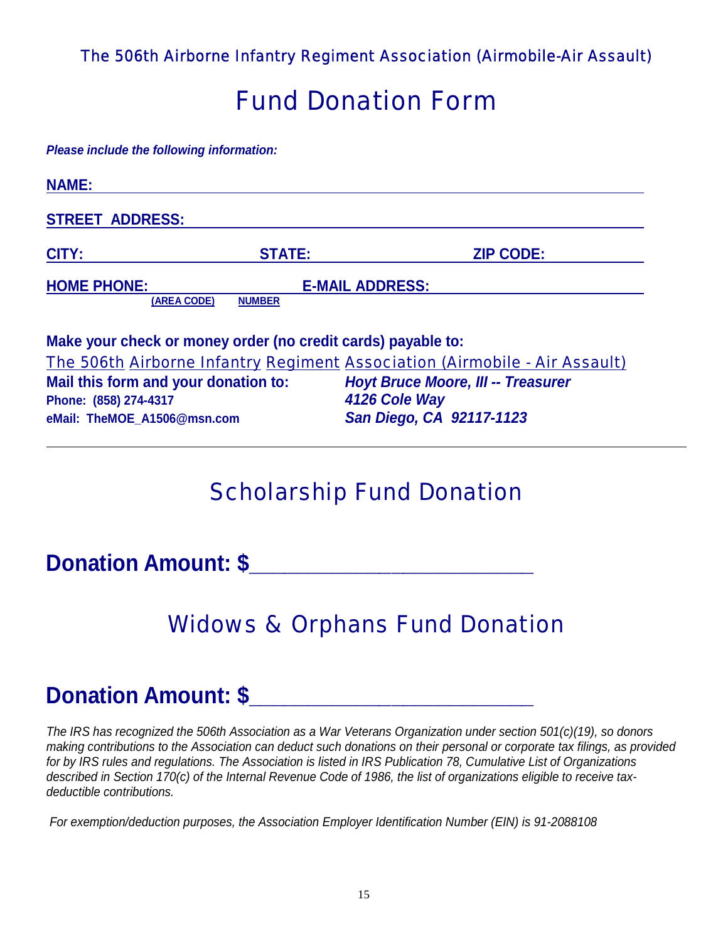*The 506th Airborne Infantry Regiment Association (Airmobile-Air Assault)* 

# *Fund Donation Form*

*Please include the following information:* 

| <b>NAME:</b>                         |                                                              |                                                                            |
|--------------------------------------|--------------------------------------------------------------|----------------------------------------------------------------------------|
| <b>STREET ADDRESS:</b>               |                                                              |                                                                            |
| CITY:                                | <b>STATE:</b>                                                | <b>ZIP CODE:</b>                                                           |
| <b>HOME PHONE:</b>                   | <b>E-MAIL ADDRESS:</b>                                       |                                                                            |
| (AREA CODE)                          | <b>NUMBER</b>                                                |                                                                            |
|                                      | Make your check or money order (no credit cards) payable to: |                                                                            |
|                                      |                                                              | The 506th Airborne Infantry Regiment Association (Airmobile - Air Assault) |
| Mail this form and your donation to: |                                                              | <b>Hovt Bruce Moore, III -- Treasurer</b>                                  |

**Mail this form and your donation to:** *Hoyt Bruce Moore, III -- Treasurer*  **Phone: (858) 274-4317** *4126 Cole Way*  **eMail: TheMOE\_A1506@msn.com** *San Diego, CA 92117-1123* 

# *Scholarship Fund Donation*

**Donation Amount: \$\_\_\_\_\_\_\_\_\_\_\_\_\_\_\_\_\_\_\_\_\_\_\_\_** 

# *Widows & Orphans Fund Donation*

# **Donation Amount: \$\_\_\_\_\_\_\_\_\_\_\_\_\_\_\_\_\_\_\_\_\_\_\_\_**

*The IRS has recognized the 506th Association as a War Veterans Organization under section 501(c)(19), so donors making contributions to the Association can deduct such donations on their personal or corporate tax filings, as provided for by IRS rules and regulations. The Association is listed in IRS Publication 78, Cumulative List of Organizations described in Section 170(c) of the Internal Revenue Code of 1986, the list of organizations eligible to receive taxdeductible contributions.* 

 *For exemption/deduction purposes, the Association Employer Identification Number (EIN) is 91-2088108*